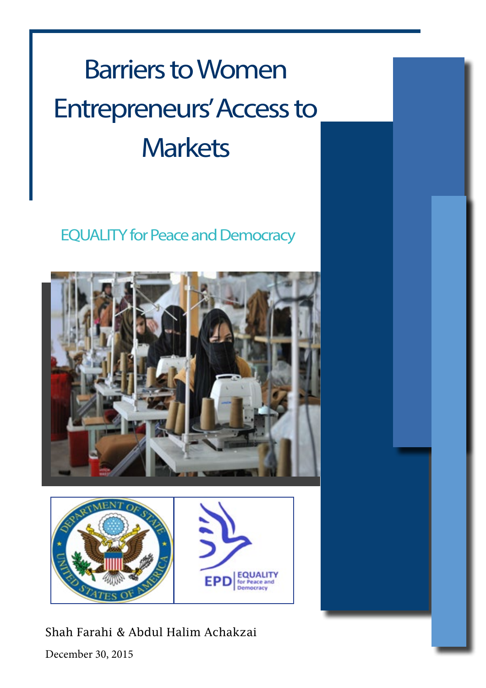# **Barriers to Women** Entrepreneurs' Access to **Markets**

### **EQUALITY for Peace and Democracy**





Shah Farahi & Abdul Halim Achakzai

December 30, 2015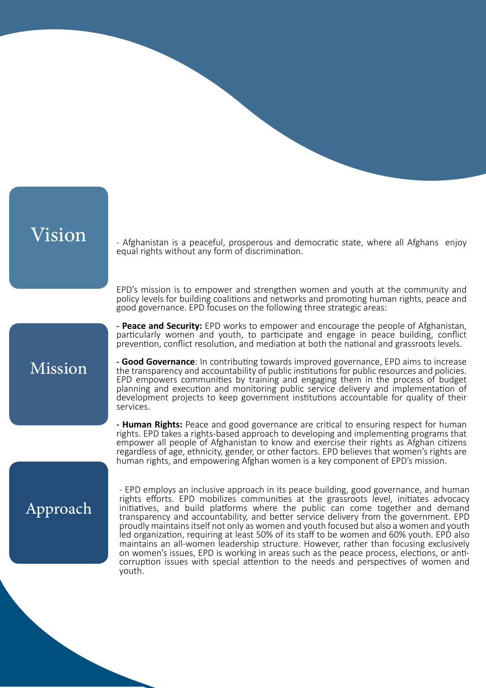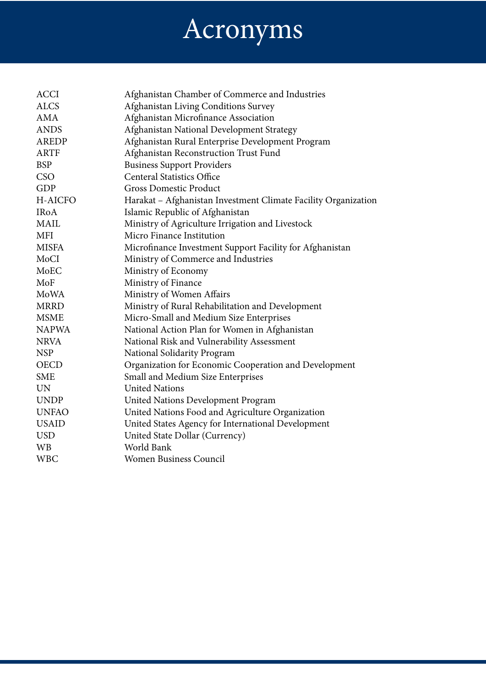# Acronyms

| <b>ACCI</b>    | Afghanistan Chamber of Commerce and Industries                 |
|----------------|----------------------------------------------------------------|
| <b>ALCS</b>    | Afghanistan Living Conditions Survey                           |
| AMA            | Afghanistan Microfinance Association                           |
| <b>ANDS</b>    | Afghanistan National Development Strategy                      |
| <b>AREDP</b>   | Afghanistan Rural Enterprise Development Program               |
| <b>ARTF</b>    | Afghanistan Reconstruction Trust Fund                          |
| <b>BSP</b>     | <b>Business Support Providers</b>                              |
| <b>CSO</b>     | <b>Centeral Statistics Office</b>                              |
| <b>GDP</b>     | Gross Domestic Product                                         |
| <b>H-AICFO</b> | Harakat - Afghanistan Investment Climate Facility Organization |
| <b>IRoA</b>    | Islamic Republic of Afghanistan                                |
| <b>MAIL</b>    | Ministry of Agriculture Irrigation and Livestock               |
| <b>MFI</b>     | Micro Finance Institution                                      |
| <b>MISFA</b>   | Microfinance Investment Support Facility for Afghanistan       |
| MoCI           | Ministry of Commerce and Industries                            |
| MoEC           | Ministry of Economy                                            |
| MoF            | Ministry of Finance                                            |
| MoWA           | Ministry of Women Affairs                                      |
| <b>MRRD</b>    | Ministry of Rural Rehabilitation and Development               |
| <b>MSME</b>    | Micro-Small and Medium Size Enterprises                        |
| <b>NAPWA</b>   | National Action Plan for Women in Afghanistan                  |
| <b>NRVA</b>    | National Risk and Vulnerability Assessment                     |
| <b>NSP</b>     | National Solidarity Program                                    |
| <b>OECD</b>    | Organization for Economic Cooperation and Development          |
| <b>SME</b>     | Small and Medium Size Enterprises                              |
| <b>UN</b>      | <b>United Nations</b>                                          |
| <b>UNDP</b>    | United Nations Development Program                             |
| <b>UNFAO</b>   | United Nations Food and Agriculture Organization               |
| <b>USAID</b>   | United States Agency for International Development             |
| <b>USD</b>     | United State Dollar (Currency)                                 |
| <b>WB</b>      | World Bank                                                     |
| <b>WBC</b>     | <b>Women Business Council</b>                                  |
|                |                                                                |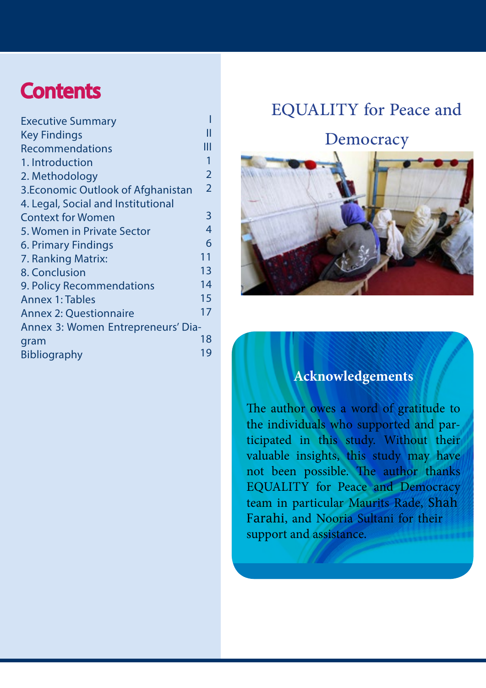### **Contents**

| <b>Executive Summary</b>           |                |
|------------------------------------|----------------|
| <b>Key Findings</b>                | Ш              |
| <b>Recommendations</b>             | Ш              |
| 1. Introduction                    | 1              |
| 2. Methodology                     | $\overline{2}$ |
| 3. Economic Outlook of Afghanistan | $\overline{2}$ |
| 4. Legal, Social and Institutional |                |
| <b>Context for Women</b>           | 3              |
| 5. Women in Private Sector         | 4              |
| 6. Primary Findings                | 6              |
| 7. Ranking Matrix:                 | 11             |
| 8. Conclusion                      | 13             |
| 9. Policy Recommendations          | 14             |
| <b>Annex 1: Tables</b>             | 15             |
| <b>Annex 2: Questionnaire</b>      | 17             |
| Annex 3: Women Entrepreneurs' Dia- |                |
| gram                               | 18             |
| <b>Bibliography</b>                | 19             |
|                                    |                |

### EQUALITY for Peace and

Democracy



### **Acknowledgements**

The author owes a word of gratitude to ticipated in this study. Without their the individuals who supported and parvaluable insights, this study may have not been possible. The author thanks EQUALITY for Peace and Democracy team in particular Maurits Rade, Shah Farahi, and Nooria Sultani for their support and assistance.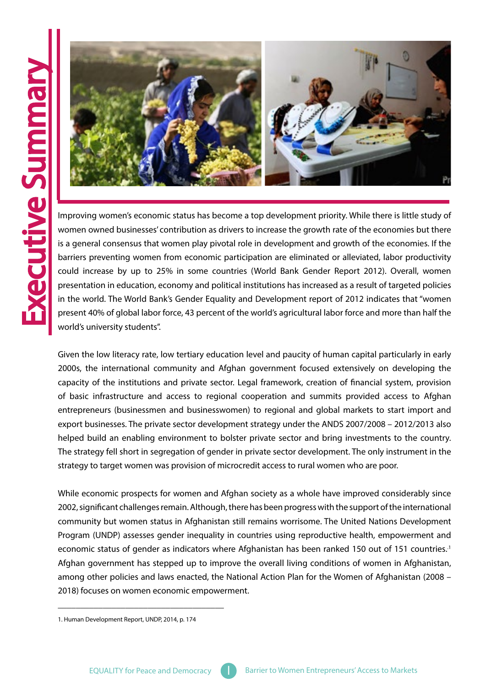<span id="page-4-0"></span>

women owned businesses' contribution as drivers to increase the growth rate of the economies but there is a general consensus that women play pivotal role in development and growth of the economies. If the barriers preventing women from economic participation are eliminated or alleviated, labor productivity could increase by up to 25% in some countries (World Bank Gender Report 2012). Overall, women presentation in education, economy and political institutions has increased as a result of targeted policies in the world. The World Bank's Gender Equality and Development report of 2012 indicates that "women present 40% of global labor force, 43 percent of the world's agricultural labor force and more than half the world's university students".

Given the low literacy rate, low tertiary education level and paucity of human capital particularly in early 2000s, the international community and Afghan government focused extensively on developing the capacity of the institutions and private sector. Legal framework, creation of financial system, provision of basic infrastructure and access to regional cooperation and summits provided access to Afghan entrepreneurs (businessmen and businesswomen) to regional and global markets to start import and export businesses. The private sector development strategy under the ANDS 2007/2008 - 2012/2013 also helped build an enabling environment to bolster private sector and bring investments to the country. The strategy fell short in segregation of gender in private sector development. The only instrument in the strategy to target women was provision of microcredit access to rural women who are poor.

While economic prospects for women and Afghan society as a whole have improved considerably since 2002, significant challenges remain. Although, there has been progress with the support of the international community but women status in Afghanistan still remains worrisome. The United Nations Development Program (UNDP) assesses gender inequality in countries using reproductive health, empowerment and economic status of gender as indicators where Afghanistan has been ranked 150 out of 151 countries.<sup>1</sup> Afghan government has stepped up to improve the overall living conditions of women in Afghanistan, among other policies and laws enacted, the National Action Plan for the Women of Afghanistan (2008 – 2018) focuses on women economic empowerment.

\_\_\_\_\_\_\_\_\_\_\_\_\_\_\_\_\_\_\_\_\_\_\_\_\_\_\_\_\_\_\_\_\_\_\_\_\_

<sup>1.</sup> Human Development Report, UNDP, 2014, p. 174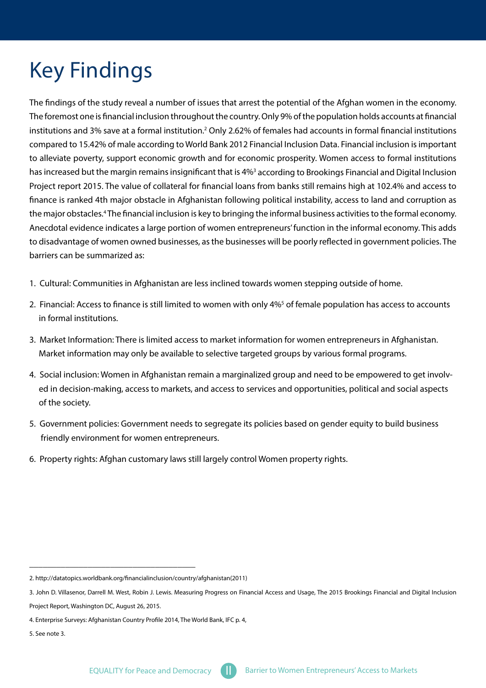# <span id="page-5-0"></span>**Key Findings**

The findings of the study reveal a number of issues that arrest the potential of the Afghan women in the economy. The foremost one is financial inclusion throughout the country. Only 9% of the population holds accounts at financial institutions and 3% save at a formal institution.<sup>2</sup> Only 2.62% of females had accounts in formal financial institutions compared to 15.42% of male according to World Bank 2012 Financial Inclusion Data. Financial inclusion is important to alleviate poverty, support economic growth and for economic prosperity. Women access to formal institutions has increased but the margin remains insignificant that is 4%<sup>3</sup> according to Brookings Financial and Digital Inclusion Project report 2015. The value of collateral for financial loans from banks still remains high at 102.4% and access to finance is ranked 4th major obstacle in Afghanistan following political instability, access to land and corruption as the major obstacles.<sup>4</sup> The financial inclusion is key to bringing the informal business activities to the formal economy. Anecdotal evidence indicates a large portion of women entrepreneurs' function in the informal economy. This adds to disadvantage of women owned businesses, as the businesses will be poorly reflected in government policies. The barriers can be summarized as:

- 1. Cultural: Communities in Afghanistan are less inclined towards women stepping outside of home.
- 2. Financial: Access to finance is still limited to women with only 4%<sup>5</sup> of female population has access to accounts in formal institutions.
- 3. Market Information: There is limited access to market information for women entrepreneurs in Afghanistan. Market information may only be available to selective targeted groups by various formal programs.
- 4. Social inclusion: Women in Afghanistan remain a marginalized group and need to be empowered to get involved in decision-making, access to markets, and access to services and opportunities, political and social aspects of the society.
- 5. Government policies: Government needs to segregate its policies based on gender equity to build business friendly environment for women entrepreneurs.
- 6. Property rights: Afghan customary laws still largely control Women property rights.

\_\_\_\_\_\_\_\_\_\_\_\_\_\_\_\_\_\_\_\_\_\_\_\_\_\_\_\_\_\_\_\_\_\_\_\_\_

<sup>2.</sup> http://datatopics.worldbank.org/financialinclusion/country/afghanistan(2011)

<sup>3.</sup> John D. Villasenor, Darrell M. West, Robin J. Lewis. Measuring Progress on Financial Access and Usage, The 2015 Brookings Financial and Digital Inclusion Project Report, Washington DC, August 26, 2015.

<sup>4.</sup> Enterprise Surveys: Afghanistan Country Profile 2014, The World Bank, IFC p. 4,

 $5.$  See note  $3.$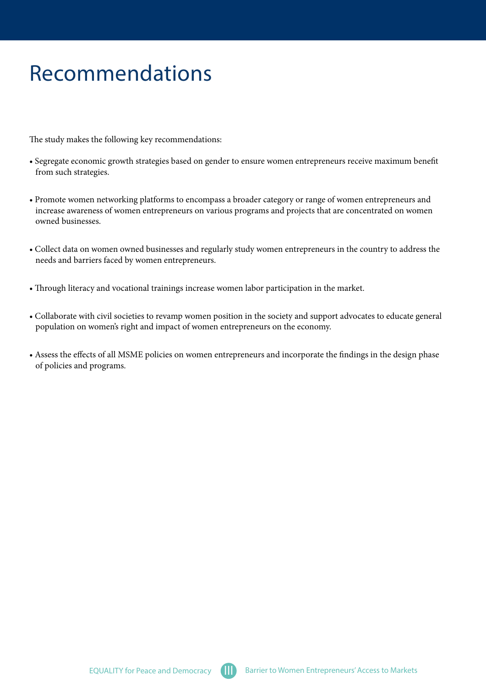### <span id="page-6-0"></span>Recommendations

The study makes the following key recommendations:

- Segregate economic growth strategies based on gender to ensure women entrepreneurs receive maximum benefit from such strategies.
- Promote women networking platforms to encompass a broader category or range of women entrepreneurs and increase awareness of women entrepreneurs on various programs and projects that are concentrated on women owned businesses.
- Collect data on women owned businesses and regularly study women entrepreneurs in the country to address the needs and barriers faced by women entrepreneurs.
- Through literacy and vocational trainings increase women labor participation in the market.
- Collaborate with civil societies to revamp women position in the society and support advocates to educate general population on women's right and impact of women entrepreneurs on the economy.
- Assess the effects of all MSME policies on women entrepreneurs and incorporate the findings in the design phase of policies and programs.

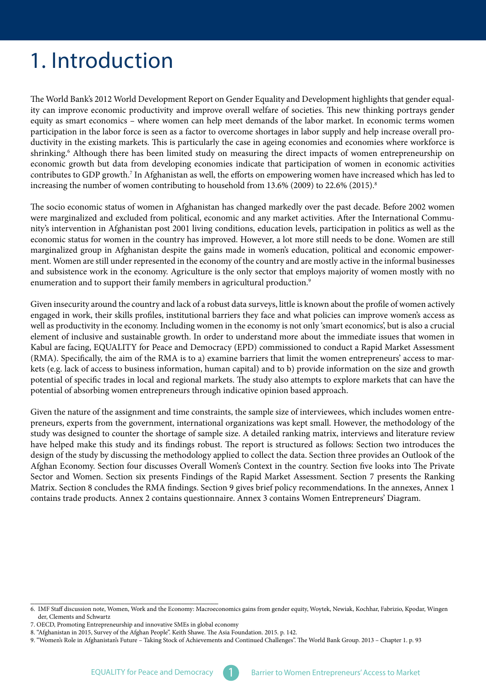# <span id="page-7-0"></span>1. Introduction

ity can improve economic productivity and improve overall welfare of societies. This new thinking portrays gender The World Bank's 2012 World Development Report on Gender Equality and Development highlights that gender equalequity as smart economics – where women can help meet demands of the labor market. In economic terms women ductivity in the existing markets. This is particularly the case in ageing economies and economies where workforce is participation in the labor force is seen as a factor to overcome shortages in labor supply and help increase overall proshrinking.<sup>6</sup> Although there has been limited study on measuring the direct impacts of women entrepreneurship on economic growth but data from developing economies indicate that participation of women in economic activities contributes to GDP growth.<sup>7</sup> In Afghanistan as well, the efforts on empowering women have increased which has led to increasing the number of women contributing to household from  $13.6\%$  (2009) to  $22.6\%$  (2015).<sup>8</sup>

The socio economic status of women in Afghanistan has changed markedly over the past decade. Before 2002 women nity's intervention in Afghanistan post 2001 living conditions, education levels, participation in politics as well as the were marginalized and excluded from political, economic and any market activities. After the International Commueconomic status for women in the country has improved. However, a lot more still needs to be done. Women are still ment. Women are still under represented in the economy of the country and are mostly active in the informal businesses marginalized group in Afghanistan despite the gains made in women's education, political and economic empowerand subsistence work in the economy. Agriculture is the only sector that employs majority of women mostly with no enumeration and to support their family members in agricultural production.<sup>9</sup>

Given insecurity around the country and lack of a robust data surveys, little is known about the profile of women actively engaged in work, their skills profiles, institutional barriers they face and what policies can improve women's access as well as productivity in the economy. Including women in the economy is not only 'smart economics', but is also a crucial element of inclusive and sustainable growth. In order to understand more about the immediate issues that women in Kabul are facing, EQUALITY for Peace and Democracy (EPD) commissioned to conduct a Rapid Market Assessment kets (e.g. lack of access to business information, human capital) and to b) provide information on the size and growth (RMA). Specifically, the aim of the RMA is to a) examine barriers that limit the women entrepreneurs' access to marpotential of specific trades in local and regional markets. The study also attempts to explore markets that can have the potential of absorbing women entrepreneurs through indicative opinion based approach.

preneurs, experts from the government, international organizations was kept small. However, the methodology of the Given the nature of the assignment and time constraints, the sample size of interviewees, which includes women entrestudy was designed to counter the shortage of sample size. A detailed ranking matrix, interviews and literature review have helped make this study and its findings robust. The report is structured as follows: Section two introduces the design of the study by discussing the methodology applied to collect the data. Section three provides an Outlook of the Afghan Economy. Section four discusses Overall Women's Context in the country. Section five looks into The Private Sector and Women. Section six presents Findings of the Rapid Market Assessment. Section 7 presents the Ranking Matrix. Section 8 concludes the RMA findings. Section 9 gives brief policy recommendations. In the annexes, Annex 1 contains trade products. Annex 2 contains questionnaire. Annex 3 contains Women Entrepreneurs' Diagram.

\_\_\_\_\_\_\_\_\_\_\_\_\_\_\_\_\_\_\_\_\_\_\_\_\_\_\_\_\_\_\_\_\_\_\_\_\_\_\_\_\_\_\_\_\_\_ 6. IMF Staff discussion note, Women, Work and the Economy: Macroeconomics gains from gender equity, Woytek, Newiak, Kochhar, Fabrizio, Kpodar, Wingen der. Clements and Schwartz

<sup>7.</sup> OECD, Promoting Entrepreneurship and innovative SMEs in global economy

<sup>8. &</sup>quot;Afghanistan in 2015, Survey of the Afghan People". Keith Shawe. The Asia Foundation. 2015. p. 142.

<sup>9. &</sup>quot;Women's Role in Afghanistan's Future – Taking Stock of Achievements and Continued Challenges". The World Bank Group. 2013 – Chapter 1. p. 93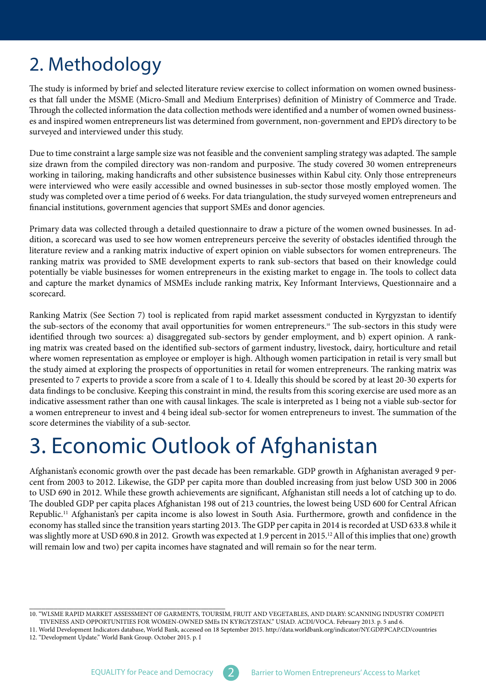### <span id="page-8-0"></span>2. Methodology

es that fall under the MSME (Micro-Small and Medium Enterprises) definition of Ministry of Commerce and Trade. The study is informed by brief and selected literature review exercise to collect information on women owned businesses and inspired women entrepreneurs list was determined from government, non-government and EPD's directory to be Through the collected information the data collection methods were identified and a number of women owned businesssurveyed and interviewed under this study.

Due to time constraint a large sample size was not feasible and the convenient sampling strategy was adapted. The sample size drawn from the compiled directory was non-random and purposive. The study covered 30 women entrepreneurs working in tailoring, making handicrafts and other subsistence businesses within Kabul city. Only those entrepreneurs were interviewed who were easily accessible and owned businesses in sub-sector those mostly employed women. The study was completed over a time period of 6 weeks. For data triangulation, the study surveyed women entrepreneurs and financial institutions, government agencies that support SMEs and donor agencies.

dition, a scorecard was used to see how women entrepreneurs perceive the severity of obstacles identified through the Primary data was collected through a detailed questionnaire to draw a picture of the women owned businesses. In adliterature review and a ranking matrix inductive of expert opinion on viable subsectors for women entrepreneurs. The ranking matrix was provided to SME development experts to rank sub-sectors that based on their knowledge could potentially be viable businesses for women entrepreneurs in the existing market to engage in. The tools to collect data and capture the market dynamics of MSMEs include ranking matrix, Key Informant Interviews, Questionnaire and a scorecard.

Ranking Matrix (See Section 7) tool is replicated from rapid market assessment conducted in Kyrgyzstan to identify the sub-sectors of the economy that avail opportunities for women entrepreneurs.<sup>10</sup> The sub-sectors in this study were identified through two sources: a) disaggregated sub-sectors by gender employment, and b) expert opinion. A rank-<br>ing matrix was created based on the identified sub-sectors of garment industry, livestock, dairy, horticultu where women representation as employee or employer is high. Although women participation in retail is very small but the study aimed at exploring the prospects of opportunities in retail for women entrepreneurs. The ranking matrix was presented to 7 experts to provide a score from a scale of 1 to 4. Ideally this should be scored by at least 20-30 experts for data findings to be conclusive. Keeping this constraint in mind, the results from this scoring exercise are used more as an indicative assessment rather than one with causal linkages. The scale is interpreted as 1 being not a viable sub-sector for a women entrepreneur to invest and 4 being ideal sub-sector for women entrepreneurs to invest. The summation of the score determines the viability of a sub-sector.

## 3. Economic Outlook of Afghanistan

cent from 2003 to 2012. Likewise, the GDP per capita more than doubled increasing from just below USD 300 in 2006 Afghanistan's economic growth over the past decade has been remarkable. GDP growth in Afghanistan averaged 9 perto USD 690 in 2012. While these growth achievements are significant, Afghanistan still needs a lot of catching up to do. The doubled GDP per capita places Afghanistan 198 out of 213 countries, the lowest being USD 600 for Central African Republic.<sup>11</sup> Afghanistan's per capita income is also lowest in South Asia. Furthermore, growth and confidence in the economy has stalled since the transition years starting 2013. The GDP per capita in 2014 is recorded at USD 633.8 while it was slightly more at USD 690.8 in 2012. Growth was expected at 1.9 percent in  $2015<sup>12</sup>$  All of this implies that one) growth will remain low and two) per capita incomes have stagnated and will remain so for the near term.

\_\_\_\_\_\_\_\_\_\_\_\_\_\_\_\_\_\_\_\_\_\_\_\_\_\_\_\_\_\_\_\_\_\_\_\_\_\_\_\_\_\_\_\_\_\_\_\_



<sup>10. &</sup>quot;WLSME RAPID MARKET ASSESSMENT OF GARMENTS, TOURSIM, FRUIT AND VEGETABLES, AND DIARY: SCANNING INDUSTRY COMPETI TIVENESS AND OPPORTUNITIES FOR WOMEN-OWNED SMEs IN KYRGYZSTAN." USIAD. ACDI/VOCA. February 2013. p. 5 and 6.

<sup>11.</sup> World Development Indicators database, World Bank, accessed on 18 September 2015. http://data.worldbank.org/indicator/NY.GDP.PCAP.CD/countries

<sup>12. &</sup>quot;Development Update." World Bank Group. October 2015. p. I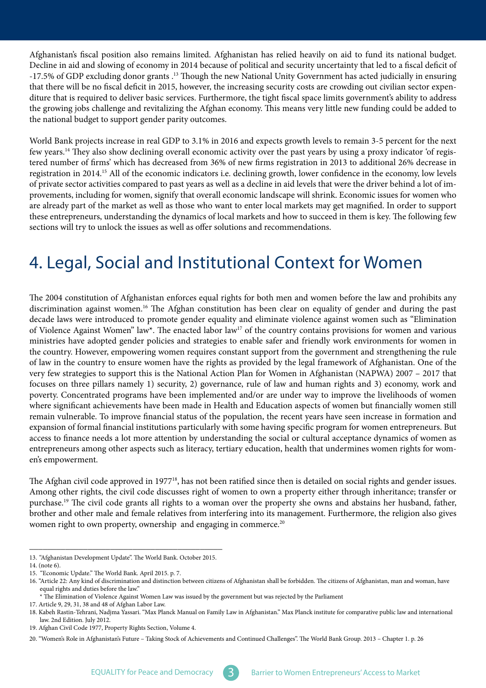<span id="page-9-0"></span>Afghanistan's fiscal position also remains limited. Afghanistan has relied heavily on aid to fund its national budget. Decline in aid and slowing of economy in 2014 because of political and security uncertainty that led to a fiscal deficit of -17.5% of GDP excluding donor grants .<sup>13</sup> Though the new National Unity Government has acted judicially in ensuring diture that is required to deliver basic services. Furthermore, the tight fiscal space limits government's ability to address that there will be no fiscal deficit in 2015, however, the increasing security costs are crowding out civilian sector expenthe growing jobs challenge and revitalizing the Afghan economy. This means very little new funding could be added to the national budget to support gender parity outcomes.

World Bank projects increase in real GDP to 3.1% in 2016 and expects growth levels to remain 3-5 percent for the next tered number of firms' which has decreased from 36% of new firms registration in 2013 to additional 26% decrease in few years.<sup>14</sup> They also show declining overall economic activity over the past years by using a proxy indicator 'of regisregistration in 2014.<sup>15</sup> All of the economic indicators i.e. declining growth, lower confidence in the economy, low levels provements, including for women, signify that overall economic landscape will shrink. Economic issues for women who of private sector activities compared to past years as well as a decline in aid levels that were the driver behind a lot of imare already part of the market as well as those who want to enter local markets may get magnified. In order to support these entrepreneurs, understanding the dynamics of local markets and how to succeed in them is key. The following few sections will try to unlock the issues as well as offer solutions and recommendations.

### 4. Legal, Social and Institutional Context for Women

The 2004 constitution of Afghanistan enforces equal rights for both men and women before the law and prohibits any discrimination against women.<sup>16</sup> The Afghan constitution has been clear on equality of gender and during the past decade laws were introduced to promote gender equality and eliminate violence against women such as "Elimination of Violence Against Women" law\*. The enacted labor law<sup>17</sup> of the country contains provisions for women and various ministries have adopted gender policies and strategies to enable safer and friendly work environments for women in the country. However, empowering women requires constant support from the government and strengthening the rule of law in the country to ensure women have the rights as provided by the legal framework of Afghanistan. One of the very few strategies to support this is the National Action Plan for Women in Afghanistan (NAPWA)  $2007 - 2017$  that focuses on three pillars namely 1) security, 2) governance, rule of law and human rights and 3) economy, work and poverty. Concentrated programs have been implemented and/or are under way to improve the livelihoods of women where significant achievements have been made in Health and Education aspects of women but financially women still remain vulnerable. To improve financial status of the population, the recent years have seen increase in formation and expansion of formal financial institutions particularly with some having specific program for women entrepreneurs. But access to finance needs a lot more attention by understanding the social or cultural acceptance dynamics of women as entrepreneurs among other aspects such as literacy, tertiary education, health that undermines women rights for wom-<br>en's empowerment.

The Afghan civil code approved in 1977<sup>18</sup>, has not been ratified since then is detailed on social rights and gender issues. Among other rights, the civil code discusses right of women to own a property either through inheritance; transfer or purchase.<sup>19</sup> The civil code grants all rights to a woman over the property she owns and abstains her husband, father, brother and other male and female relatives from interfering into its management. Furthermore, the religion also gives women right to own property, ownership and engaging in commerce.<sup>20</sup>

\_\_\_\_\_\_\_\_\_\_\_\_\_\_\_\_\_\_\_\_\_\_\_\_\_\_\_\_\_\_\_\_\_\_\_\_\_\_\_\_\_\_\_ 13. "Afghanistan Development Update". The World Bank. October 2015.

<sup>14. (</sup>note  $6$ ).

<sup>15. &</sup>quot;Economic Update." The World Bank. April 2015. p. 7.

<sup>16. &</sup>quot;Article 22: Any kind of discrimination and distinction between citizens of Afghanistan shall be forbidden. The citizens of Afghanistan, man and woman, have equal rights and duties before the law."

The Elimination of Violence Against Women Law was issued by the government but was rejected by the Parliament

<sup>17.</sup> Article 9, 29, 31, 38 and 48 of Afghan Labor Law.

<sup>18.</sup> Kabeh Rastin-Tehrani, Nadjma Yassari. "Max Planck Manual on Family Law in Afghanistan." Max Planck institute for comparative public law and international law. 2nd Edition. July 2012.

<sup>19.</sup> Afghan Civil Code 1977, Property Rights Section, Volume 4.

<sup>20. &</sup>quot;Women's Role in Afghanistan's Future – Taking Stock of Achievements and Continued Challenges". The World Bank Group. 2013 – Chapter 1. p. 26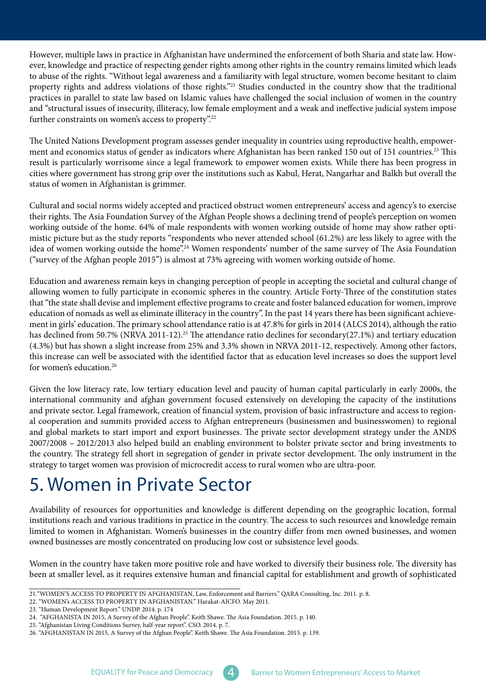<span id="page-10-0"></span>ever, knowledge and practice of respecting gender rights among other rights in the country remains limited which leads However, multiple laws in practice in Afghanistan have undermined the enforcement of both Sharia and state law. Howto abuse of the rights. "Without legal awareness and a familiarity with legal structure, women become hesitant to claim property rights and address violations of those rights."<sup>21</sup> Studies conducted in the country show that the traditional practices in parallel to state law based on Islamic values have challenged the social inclusion of women in the country and "structural issues of insecurity, illiteracy, low female employment and a weak and ineffective judicial system impose further constraints on women's access to property".<sup>22</sup>

ment and economics status of gender as indicators where Afghanistan has been ranked 150 out of 151 countries.<sup>23</sup> This The United Nations Development program assesses gender inequality in countries using reproductive health, empowerresult is particularly worrisome since a legal framework to empower women exists. While there has been progress in cities where government has strong grip over the institutions such as Kabul, Herat, Nangarhar and Balkh but overall the status of women in Afghanistan is grimmer.

Cultural and social norms widely accepted and practiced obstruct women entrepreneurs' access and agency's to exercise their rights. The Asia Foundation Survey of the Afghan People shows a declining trend of people's perception on women mistic picture but as the study reports "respondents who never attended school  $(61.2%)$  are less likely to agree with the working outside of the home. 64% of male respondents with women working outside of home may show rather optiidea of women working outside the home".<sup>24</sup> Women respondents' number of the same survey of The Asia Foundation ("survey of the Afghan people 2015") is almost at 73% agreeing with women working outside of home.

Education and awareness remain keys in changing perception of people in accepting the societal and cultural change of allowing women to fully participate in economic spheres in the country. Article Forty-Three of the constitution states that "the state shall devise and implement effective programs to create and foster balanced education for women, improve ment in girls' education. The primary school attendance ratio is at 47.8% for girls in 2014 (ALCS 2014), although the ratio education of nomads as well as eliminate illiteracy in the country". In the past 14 years there has been significant achievehas declined from 50.7% (NRVA 2011-12).<sup>25</sup> The attendance ratio declines for secondary (27.1%) and tertiary education  $(4.3%)$  but has shown a slight increase from 25% and 3.3% shown in NRVA 2011-12, respectively. Among other factors, this increase can well be associated with the identified factor that as education level increases so does the support level for women's education. $26$ 

Given the low literacy rate, low tertiary education level and paucity of human capital particularly in early 2000s, the international community and afghan government focused extensively on developing the capacity of the institutions al cooperation and summits provided access to Afghan entrepreneurs (businessmen and businesswomen) to regional and private sector. Legal framework, creation of financial system, provision of basic infrastructure and access to regionand global markets to start import and export businesses. The private sector development strategy under the ANDS 2007/2008 - 2012/2013 also helped build an enabling environment to bolster private sector and bring investments to the country. The strategy fell short in segregation of gender in private sector development. The only instrument in the strategy to target women was provision of microcredit access to rural women who are ultra-poor.

### 5. Women in Private Sector

Availability of resources for opportunities and knowledge is different depending on the geographic location, formal institutions reach and various traditions in practice in the country. The access to such resources and knowledge remain limited to women in Afghanistan. Women's businesses in the country differ from men owned businesses, and women owned businesses are mostly concentrated on producing low cost or subsistence level goods.

Women in the country have taken more positive role and have worked to diversify their business role. The diversity has been at smaller level, as it requires extensive human and financial capital for establishment and growth of sophisticated

\_\_\_\_\_\_\_\_\_\_\_\_\_\_\_\_\_\_\_\_\_\_\_\_\_\_\_\_\_\_\_\_\_\_\_\_\_\_\_\_\_\_\_\_\_\_\_ 21. "WOMEN'S ACCESS TO PROPERTY IN AFGHANISTAN, Law, Enforcement and Barriers." QARA Consulting, Inc. 2011. p. 8.

<sup>22. &</sup>quot;WOMEN's ACCESS TO PROPERTY IN AFGHANISTAN." Harakat-AICFO. May 2011.

<sup>23. &</sup>quot;Human Development Report." UNDP. 2014. p. 174

<sup>24. &</sup>quot;AFGHANISTA IN 2015, A Survey of the Afghan People". Keith Shawe. The Asia Foundation. 2015. p. 140.

<sup>25. &</sup>quot;Afghanistan Living Conditions Survey, half-year report". CSO. 2014. p. 7.

<sup>26. &</sup>quot;AFGHANISTAN IN 2015, A Survey of the Afghan People". Keith Shawe. The Asia Foundation. 2015. p. 139.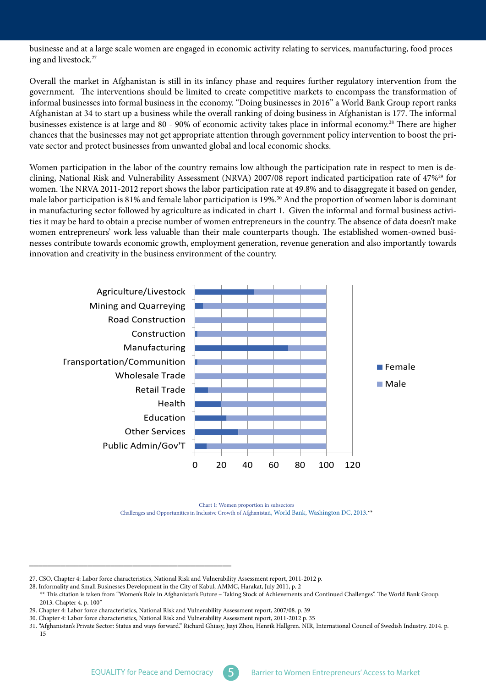businesse and at a large scale women are engaged in economic activity relating to services, manufacturing, food proces ing and livestock.<sup>27</sup>

Overall the market in Afghanistan is still in its infancy phase and requires further regulatory intervention from the government. The interventions should be limited to create competitive markets to encompass the transformation of informal businesses into formal business in the economy. "Doing businesses in 2016" a World Bank Group report ranks Afghanistan at 34 to start up a business while the overall ranking of doing business in Afghanistan is 177. The informal businesses existence is at large and 80 - 90% of economic activity takes place in informal economy.<sup>28</sup> There are higher chances that the businesses may not get appropriate attention through government policy intervention to boost the pri-<br>vate sector and protect businesses from unwanted global and local economic shocks.

clining, National Risk and Vulnerability Assessment (NRVA) 2007/08 report indicated participation rate of 47%<sup>29</sup> for Women participation in the labor of the country remains low although the participation rate in respect to men is dewomen. The NRVA 2011-2012 report shows the labor participation rate at 49.8% and to disaggregate it based on gender, male labor participation is 81% and female labor participation is 19%.<sup>30</sup> And the proportion of women labor is dominant ties it may be hard to obtain a precise number of women entrepreneurs in the country. The absence of data doesn't make in manufacturing sector followed by agriculture as indicated in chart 1. Given the informal and formal business activinesses contribute towards economic growth, employment generation, revenue generation and also importantly towards women entrepreneurs' work less valuable than their male counterparts though. The established women-owned busiinnovation and creativity in the business environment of the country.



Chart 1: Women proportion in subsectors Challenges and Opportunities in Inclusive Growth of Afghanistan, World Bank, Washington DC, 2013.\*\*

\_\_\_\_\_\_\_\_\_\_\_\_\_\_\_\_\_\_\_\_\_\_\_\_\_\_\_\_\_\_\_\_\_\_\_\_\_\_\_\_\_\_\_\_\_

<sup>27.</sup> CSO, Chapter 4: Labor force characteristics, National Risk and Vulnerability Assessment report, 2011-2012 p.

<sup>28.</sup> Informality and Small Businesses Development in the City of Kabul, AMMC, Harakat, July 2011, p. 2

<sup>\*\*</sup> This citation is taken from "Women's Role in Afghanistan's Future - Taking Stock of Achievements and Continued Challenges". The World Bank Group. 2013. Chapter 4. p. 100"

<sup>29.</sup> Chapter 4: Labor force characteristics, National Risk and Vulnerability Assessment report, 2007/08. p. 39

<sup>30.</sup> Chapter 4: Labor force characteristics, National Risk and Vulnerability Assessment report, 2011-2012 p. 35

<sup>31. &</sup>quot;Afghanistan's Private Sector: Status and ways forward." Richard Ghiasy, Jiayi Zhou, Henrik Hallgren. NIR, International Council of Swedish Industry. 2014. p. 15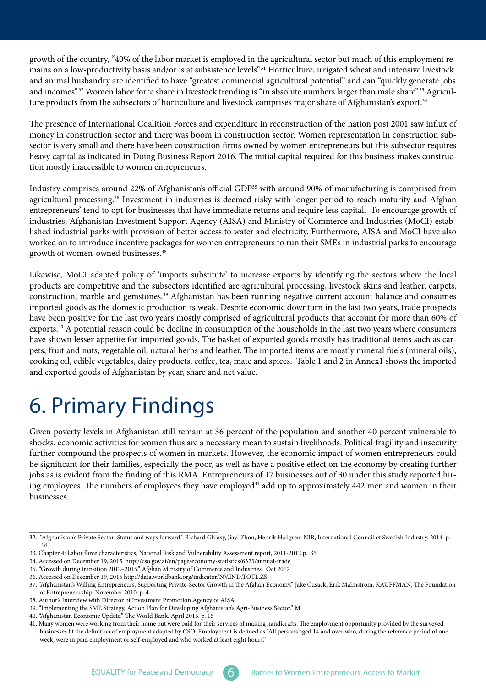<span id="page-12-0"></span>mains on a low-productivity basis and/or is at subsistence levels".<sup>31</sup> Horticulture, irrigated wheat and intensive livestock growth of the country, "40% of the labor market is employed in the agricultural sector but much of this employment reand animal husbandry are identified to have "greatest commercial agricultural potential" and can "quickly generate jobs and incomes".<sup>32</sup> Women labor force share in livestock trending is "in absolute numbers larger than male share".<sup>33</sup> Agricul-<br>ture products from the subsectors of horticulture and livestock comprises major share of Afghani

The presence of International Coalition Forces and expenditure in reconstruction of the nation post 2001 saw influx of sector is very small and there have been construction firms owned by women entrepreneurs but this subsector requires money in construction sector and there was boom in construction sector. Women representation in construction subheavy capital as indicated in Doing Business Report 2016. The initial capital required for this business makes construc-<br>tion mostly inaccessible to women entrepreneurs.

Industry comprises around 22% of Afghanistan's official GDP<sup>35</sup> with around 90% of manufacturing is comprised from agricultural processing.<sup>36</sup> Investment in industries is deemed risky with longer period to reach maturity and Afghan entrepreneurs' tend to opt for businesses that have immediate returns and require less capital. To encourage growth of lished industrial parks with provision of better access to water and electricity. Furthermore, AISA and MoCI have also industries, Afghanistan Investment Support Agency (AISA) and Ministry of Commerce and Industries (MoCI) estabworked on to introduce incentive packages for women entrepreneurs to run their SMEs in industrial parks to encourage growth of women-owned businesses.<sup>38</sup>

Likewise, MoCI adapted policy of 'imports substitute' to increase exports by identifying the sectors where the local products are competitive and the subsectors identified are agricultural processing, livestock skins and leather, carpets, construction, marble and gemstones.<sup>39</sup> Afghanistan has been running negative current account balance and consumes imported goods as the domestic production is weak. Despite economic downturn in the last two years, trade prospects have been positive for the last two years mostly comprised of agricultural products that account for more than 60% of exports.<sup>40</sup> A potential reason could be decline in consumption of the households in the last two years where consumers pets, fruit and nuts, vegetable oil, natural herbs and leather. The imported items are mostly mineral fuels (mineral oils), have shown lesser appetite for imported goods. The basket of exported goods mostly has traditional items such as carcooking oil, edible vegetables, dairy products, coffee, tea, mate and spices. Table 1 and 2 in Annex1 shows the imported and exported goods of Afghanistan by year, share and net value.

## 6. Primary Findings

Given poverty levels in Afghanistan still remain at 36 percent of the population and another 40 percent vulnerable to shocks, economic activities for women thus are a necessary mean to sustain livelihoods. Political fragility and insecurity further compound the prospects of women in markets. However, the economic impact of women entrepreneurs could be significant for their families, especially the poor, as well as have a positive effect on the economy by creating further ing employees. The numbers of employees they have employed<sup>41</sup> add up to approximately 442 men and women in their jobs as is evident from the finding of this RMA. Entrepreneurs of 17 businesses out of 30 under this study reported hir-.businesses

\_\_\_\_\_\_\_\_\_\_\_\_\_\_\_\_\_\_\_\_\_\_\_\_\_\_\_\_\_\_\_\_\_\_\_\_\_\_\_\_\_\_ 32. "Afghanistan's Private Sector: Status and ways forward." Richard Ghiasy, Jiayi Zhou, Henrik Hallgren. NIR, International Council of Swedish Industry. 2014. p. 16

<sup>33.</sup> Chapter 4: Labor force characteristics, National Risk and Vulnerability Assessment report, 2011-2012 p. 35

<sup>34.</sup> Accessed on December 19, 2015. http://cso.gov.af/en/page/economy-statistics/6323/annual-trade

<sup>35. &</sup>quot;Growth during transition 2012-2015." Afghan Ministry of Commerce and Industries. Oct 2012

<sup>36.</sup> Accessed on December 19, 2015 http://data.worldbank.org/indicator/NV.IND.TOTL.ZS

<sup>37. &</sup>quot;Afghanistan's Willing Entrepreneurs, Supporting Private-Sector Growth in the Afghan Economy." Jake Cusack, Erik Malmstrom. KAUFFMAN, The Foundation of Entrepreneurship. November 2010. p. 4.

<sup>38.</sup> Author's Interview with Director of Investment Promotion Agency of AISA

<sup>39. &</sup>quot;Implementing the SME Strategy, Action Plan for Developing Afghanistan's Agri-Business Sector." M

<sup>40. &</sup>quot;Afghanistan Economic Update." The World Bank. April 2015. p. 15

<sup>41.</sup> Many women were working from their home but were paid for their services of making handicrafts. The employment opportunity provided by the surveyed businesses fit the definition of employment adapted by CSO: Employment is defined as "All persons aged 14 and over who, during the reference period of one week, were in paid employment or self-employed and who worked at least eight hours."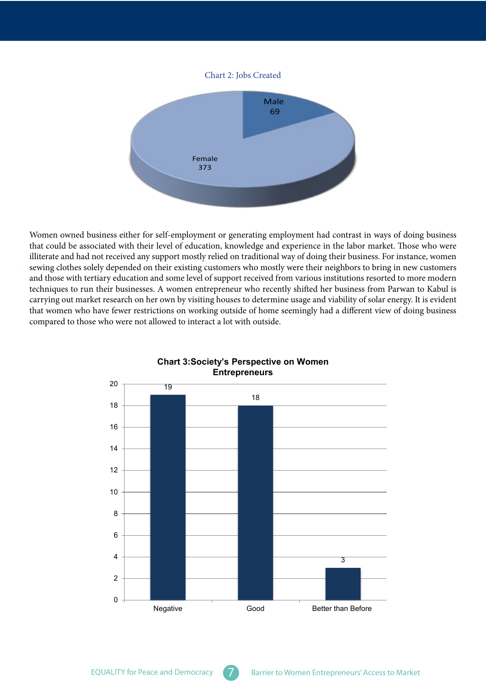#### Chart 2: Jobs Created



Women owned business either for self-employment or generating employment had contrast in ways of doing business that could be associated with their level of education, knowledge and experience in the labor market. Those who were illiterate and had not received any support mostly relied on traditional way of doing their business. For instance, women sewing clothes solely depended on their existing customers who mostly were their neighbors to bring in new customers and those with tertiary education and some level of support received from various institutions resorted to more modern techniques to run their businesses. A women entrepreneur who recently shifted her business from Parwan to Kabul is carrying out market research on her own by visiting houses to determine usage and viability of solar energy. It is evident that women who have fewer restrictions on working outside of home seemingly had a different view of doing business compared to those who were not allowed to interact a lot with outside.



#### **Chart 3: Society's Perspective on Women Entrepreneurs**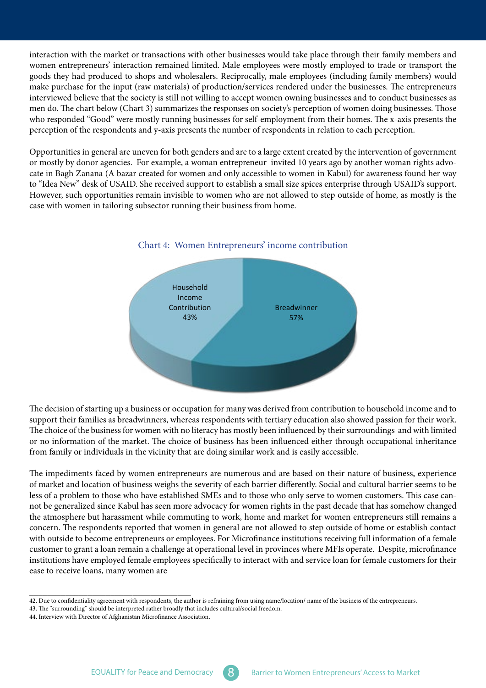interaction with the market or transactions with other businesses would take place through their family members and women entrepreneurs' interaction remained limited. Male employees were mostly employed to trade or transport the goods they had produced to shops and wholesalers. Reciprocally, male employees (including family members) would make purchase for the input (raw materials) of production/services rendered under the businesses. The entrepreneurs interviewed believe that the society is still not willing to accept women owning businesses and to conduct businesses as men do. The chart below (Chart 3) summarizes the responses on society's perception of women doing businesses. Those who responded "Good" were mostly running businesses for self-employment from their homes. The x-axis presents the perception of the respondents and y-axis presents the number of respondents in relation to each perception.

Opportunities in general are uneven for both genders and are to a large extent created by the intervention of government cate in Bagh Zanana (A bazar created for women and only accessible to women in Kabul) for awareness found her way or mostly by donor agencies. For example, a woman entrepreneur invited 10 years ago by another woman rights advoto "Idea New" desk of USAID. She received support to establish a small size spices enterprise through USAID's support. However, such opportunities remain invisible to women who are not allowed to step outside of home, as mostly is the case with women in tailoring subsector running their business from home.



#### Chart 4: Women Entrepreneurs' income contribution

The decision of starting up a business or occupation for many was derived from contribution to household income and to support their families as breadwinners, whereas respondents with tertiary education also showed passion for their work. The choice of the business for women with no literacy has mostly been influenced by their surroundings and with limited or no information of the market. The choice of business has been influenced either through occupational inheritance from family or individuals in the vicinity that are doing similar work and is easily accessible.

The impediments faced by women entrepreneurs are numerous and are based on their nature of business, experience of market and location of business weighs the severity of each barrier differently. Social and cultural barrier seems to be less of a problem to those who have established SMEs and to those who only serve to women customers. This case can-<br>not be generalized since Kabul has seen more advocacy for women rights in the past decade that has somehow the atmosphere but harassment while commuting to work, home and market for women entrepreneurs still remains a concern. The respondents reported that women in general are not allowed to step outside of home or establish contact with outside to become entrepreneurs or employees. For Microfinance institutions receiving full information of a female customer to grant a loan remain a challenge at operational level in provinces where MFIs operate. Despite, microfinance institutions have employed female employees specifically to interact with and service loan for female customers for their ease to receive loans, many women are

\_\_\_\_\_\_\_\_\_\_\_\_\_\_\_\_\_\_\_\_\_\_\_\_\_\_\_\_\_\_\_\_\_\_\_\_ 42. Due to confidentiality agreement with respondents, the author is refraining from using name/location/name of the business of the entrepreneurs.

<sup>43.</sup> The "surrounding" should be interpreted rather broadly that includes cultural/social freedom.

<sup>44.</sup> Interview with Director of Afghanistan Microfinance Association.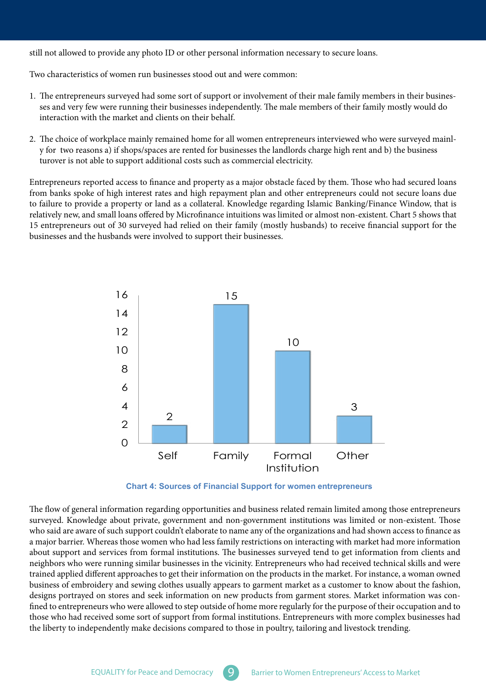still not allowed to provide any photo ID or other personal information necessary to secure loans.

Two characteristics of women run businesses stood out and were common:

- 1. The entrepreneurs surveyed had some sort of support or involvement of their male family members in their businesses and very few were running their businesses independently. The male members of their family mostly would do interaction with the market and clients on their behalf.
- 2. The choice of workplace mainly remained home for all women entrepreneurs interviewed who were surveyed mainly for two reasons a) if shops/spaces are rented for businesses the landlords charge high rent and b) the business turover is not able to support additional costs such as commercial electricity.

Entrepreneurs reported access to finance and property as a major obstacle faced by them. Those who had secured loans from banks spoke of high interest rates and high repayment plan and other entrepreneurs could not secure loans due to failure to provide a property or land as a collateral. Knowledge regarding Islamic Banking/Finance Window, that is relatively new, and small loans offered by Microfinance intuitions was limited or almost non-existent. Chart 5 shows that 15 entrepreneurs out of 30 surveyed had relied on their family (mostly husbands) to receive financial support for the businesses and the husbands were involved to support their businesses.





The flow of general information regarding opportunities and business related remain limited among those entrepreneurs surveyed. Knowledge about private, government and non-government institutions was limited or non-existent. Those who said are aware of such support couldn't elaborate to name any of the organizations and had shown access to finance as a major barrier. Whereas those women who had less family restrictions on interacting with market had more information about support and services from formal institutions. The businesses surveyed tend to get information from clients and neighbors who were running similar businesses in the vicinity. Entrepreneurs who had received technical skills and were trained applied different approaches to get their information on the products in the market. For instance, a woman owned business of embroidery and sewing clothes usually appears to garment market as a customer to know about the fashion, fined to entrepreneurs who were allowed to step outside of home more regularly for the purpose of their occupation and to designs portrayed on stores and seek information on new products from garment stores. Market information was conthose who had received some sort of support from formal institutions. Entrepreneurs with more complex businesses had the liberty to independently make decisions compared to those in poultry, tailoring and livestock trending.

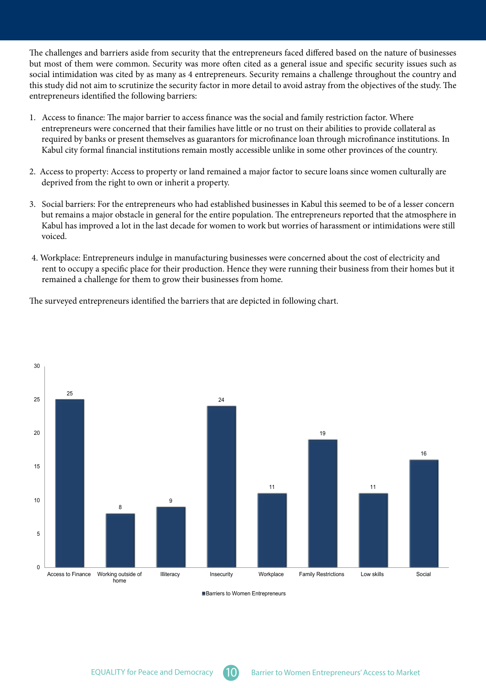The challenges and barriers aside from security that the entrepreneurs faced differed based on the nature of businesses but most of them were common. Security was more often cited as a general issue and specific security issues such as social intimidation was cited by as many as 4 entrepreneurs. Security remains a challenge throughout the country and this study did not aim to scrutinize the security factor in more detail to avoid astray from the objectives of the study. The entrepreneurs identified the following barriers:

- 1. Access to finance: The major barrier to access finance was the social and family restriction factor. Where entrepreneurs were concerned that their families have little or no trust on their abilities to provide collateral as required by banks or present themselves as guarantors for microfinance loan through microfinance institutions. In Kabul city formal financial institutions remain mostly accessible unlike in some other provinces of the country.
- 2. Access to property: Access to property or land remained a major factor to secure loans since women culturally are deprived from the right to own or inherit a property.
- 3. Social barriers: For the entrepreneurs who had established businesses in Kabul this seemed to be of a lesser concern but remains a major obstacle in general for the entire population. The entrepreneurs reported that the atmosphere in Kabul has improved a lot in the last decade for women to work but worries of harassment or intimidations were still .voiced
- 4. Workplace: Entrepreneurs indulge in manufacturing businesses were concerned about the cost of electricity and rent to occupy a specific place for their production. Hence they were running their business from their homes but it remained a challenge for them to grow their businesses from home.

The surveyed entrepreneurs identified the barriers that are depicted in following chart.



Barriers to Women Entrepreneurs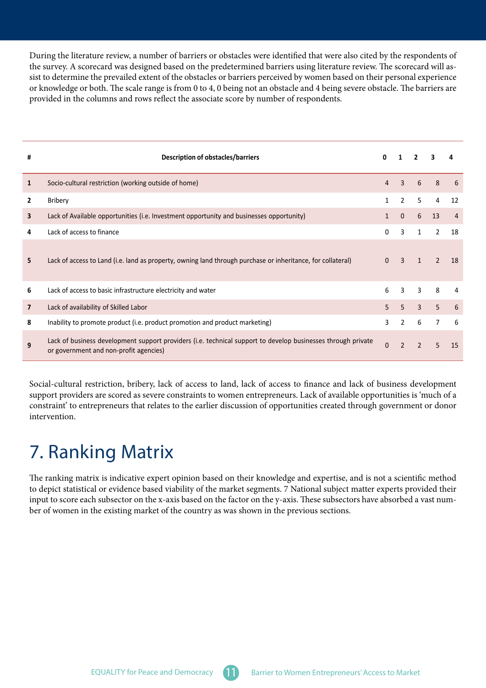<span id="page-17-0"></span>During the literature review, a number of barriers or obstacles were identified that were also cited by the respondents of sist to determine the prevailed extent of the obstacles or barriers perceived by women based on their personal experience the survey. A scorecard was designed based on the predetermined barriers using literature review. The scorecard will asor knowledge or both. The scale range is from 0 to 4, 0 being not an obstacle and 4 being severe obstacle. The barriers are provided in the columns and rows reflect the associate score by number of respondents.

| #              | Description of obstacles/barriers                                                                                                                      | 0              |                |                |                |                |
|----------------|--------------------------------------------------------------------------------------------------------------------------------------------------------|----------------|----------------|----------------|----------------|----------------|
| 1              | Socio-cultural restriction (working outside of home)                                                                                                   | 4              | $\overline{3}$ | 6              | 8              | 6              |
| $\mathbf{2}$   | <b>Bribery</b>                                                                                                                                         |                | $\overline{2}$ | 5              | $\overline{4}$ | 12             |
| 3              | Lack of Available opportunities (i.e. Investment opportunity and businesses opportunity)                                                               | 1              | $\mathbf{0}$   | 6              | 13             | $\overline{4}$ |
| 4              | Lack of access to finance                                                                                                                              | 0              | 3              | $\mathbf{1}$   | $\overline{2}$ | 18             |
| 5              | Lack of access to Land (i.e. land as property, owning land through purchase or inheritance, for collateral)                                            | $\Omega$       | $\overline{3}$ | $\mathbf{1}$   | $\mathcal{P}$  | 18             |
| 6              | Lack of access to basic infrastructure electricity and water                                                                                           | 6              | 3              | 3              | 8              | 4              |
| $\overline{7}$ | Lack of availability of Skilled Labor                                                                                                                  | 5 <sup>1</sup> | 5              | $\overline{3}$ | 5              | 6              |
| 8              | Inability to promote product (i.e. product promotion and product marketing)                                                                            | 3              | $\overline{2}$ | 6              | $\overline{7}$ | 6              |
| 9              | Lack of business development support providers (i.e. technical support to develop businesses through private<br>or government and non-profit agencies) | $\Omega$       | $\overline{2}$ | $\overline{2}$ | 5              | 15             |

Social-cultural restriction, bribery, lack of access to land, lack of access to finance and lack of business development support providers are scored as severe constraints to women entrepreneurs. Lack of available opportunities is 'much of a constraint' to entrepreneurs that relates to the earlier discussion of opportunities created through government or donor intervention.

### 7. Ranking Matrix

The ranking matrix is indicative expert opinion based on their knowledge and expertise, and is not a scientific method to depict statistical or evidence based viability of the market segments. 7 National subject matter experts provided their input to score each subsector on the x-axis based on the factor on the y-axis. These subsectors have absorbed a vast num-<br>ber of women in the existing market of the country as was shown in the previous sections.

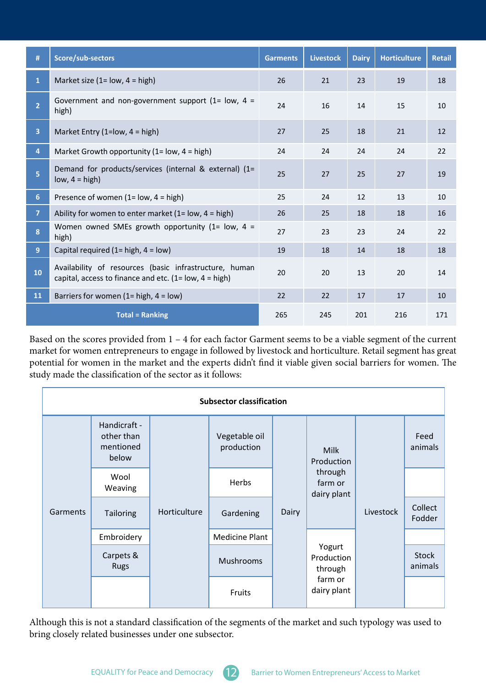| #                       | Score/sub-sectors                                                                                                   | <b>Garments</b> | <b>Livestock</b> | <b>Dairy</b> | <b>Horticulture</b> | <b>Retail</b> |
|-------------------------|---------------------------------------------------------------------------------------------------------------------|-----------------|------------------|--------------|---------------------|---------------|
| $\mathbf{1}$            | Market size $(1 = low, 4 = high)$                                                                                   | 26              | 21               | 23           | 19                  | 18            |
| $\overline{2}$          | Government and non-government support (1= $low, 4 =$<br>high)                                                       | 24              | 16               | 14           | 15                  | 10            |
| $\overline{\mathbf{3}}$ | Market Entry (1= $low$ , 4 = high)                                                                                  | 27              | 25               | 18           | 21                  | 12            |
| 4                       | Market Growth opportunity (1= $low$ , 4 = high)                                                                     | 24              | 24               | 24           | 24                  | 22            |
| 5                       | Demand for products/services (internal & external) (1=<br>$low, 4 = high)$                                          | 25              | 27               | 25           | 27                  | 19            |
| 6 <sup>1</sup>          | Presence of women $(1 = low, 4 = high)$                                                                             | 25              | 24               | 12           | 13                  | 10            |
| 7 <sup>1</sup>          | Ability for women to enter market (1= low, $4 = high$ )                                                             | 26              | 25               | 18           | 18                  | 16            |
| 8                       | Women owned SMEs growth opportunity (1= $low$ , 4 =<br>high)                                                        | 27              | 23               | 23           | 24                  | 22            |
| 9 <sup>°</sup>          | Capital required (1= high, $4 = low$ )                                                                              | 19              | 18               | 14           | 18                  | 18            |
| 10                      | Availability of resources (basic infrastructure, human<br>capital, access to finance and etc. $(1 = low, 4 = high)$ | 20              | 20               | 13           | 20                  | 14            |
| 11                      | Barriers for women $(1 = high, 4 = low)$                                                                            | 22              | 22               | 17           | 17                  | 10            |
|                         | <b>Total = Ranking</b>                                                                                              | 265             | 245              | 201          | 216                 | 171           |

Based on the scores provided from  $1 - 4$  for each factor Garment seems to be a viable segment of the current market for women entrepreneurs to engage in followed by livestock and horticulture. Retail segment has great potential for women in the market and the experts didn't find it viable given social barriers for women. The study made the classification of the sector as it follows:

| <b>Subsector classification</b> |                                                  |              |                             |       |                                                                |           |                         |  |  |  |  |
|---------------------------------|--------------------------------------------------|--------------|-----------------------------|-------|----------------------------------------------------------------|-----------|-------------------------|--|--|--|--|
| Garments                        | Handicraft -<br>other than<br>mentioned<br>below |              | Vegetable oil<br>production | Dairy | <b>Milk</b><br>Production<br>through<br>farm or<br>dairy plant |           | Feed<br>animals         |  |  |  |  |
|                                 | Wool<br>Weaving                                  | Horticulture | Herbs                       |       |                                                                |           |                         |  |  |  |  |
|                                 | Tailoring                                        |              | Gardening                   |       |                                                                | Livestock | Collect<br>Fodder       |  |  |  |  |
|                                 | Embroidery                                       |              | <b>Medicine Plant</b>       |       | Yogurt<br>Production<br>through<br>farm or<br>dairy plant      |           |                         |  |  |  |  |
|                                 | Carpets &<br><b>Rugs</b>                         |              | Mushrooms                   |       |                                                                |           | <b>Stock</b><br>animals |  |  |  |  |
|                                 |                                                  |              | Fruits                      |       |                                                                |           |                         |  |  |  |  |

Although this is not a standard classification of the segments of the market and such typology was used to bring closely related businesses under one subsector.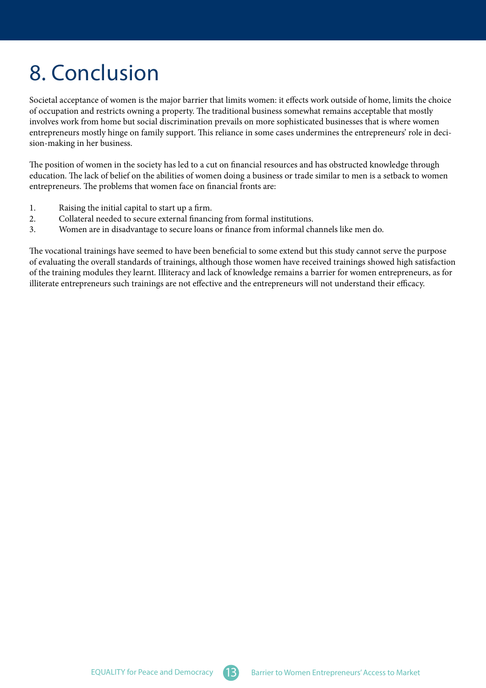# <span id="page-19-0"></span>8. Conclusion

Societal acceptance of women is the major barrier that limits women: it effects work outside of home, limits the choice of occupation and restricts owning a property. The traditional business somewhat remains acceptable that mostly involves work from home but social discrimination prevails on more sophisticated businesses that is where women entrepreneurs mostly hinge on family support. This reliance in some cases undermines the entrepreneurs' role in deci-<br>sion-making in her business.

The position of women in the society has led to a cut on financial resources and has obstructed knowledge through education. The lack of belief on the abilities of women doing a business or trade similar to men is a setback to women entrepreneurs. The problems that women face on financial fronts are:

- 1. Raising the initial capital to start up a firm.
- 2. Collateral needed to secure external financing from formal institutions.
- 3. Women are in disadvantage to secure loans or finance from informal channels like men do.

The vocational trainings have seemed to have been beneficial to some extend but this study cannot serve the purpose of evaluating the overall standards of trainings, although those women have received trainings showed high satisfaction of the training modules they learnt. Illiteracy and lack of knowledge remains a barrier for women entrepreneurs, as for illiterate entrepreneurs such trainings are not effective and the entrepreneurs will not understand their efficacy.

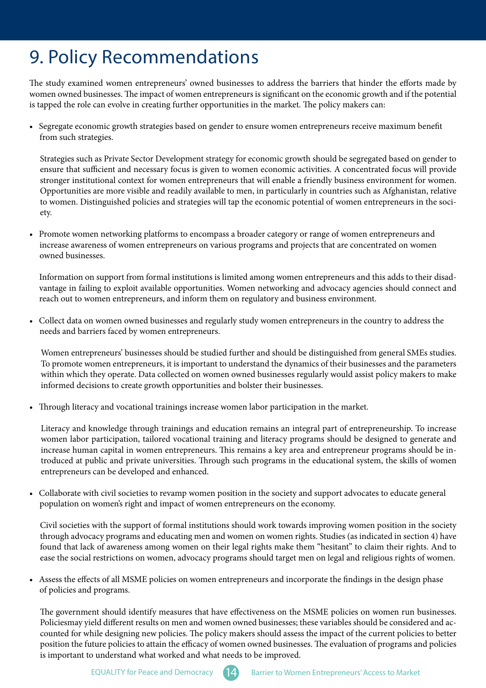### <span id="page-20-0"></span>9. Policy Recommendations

The study examined women entrepreneurs' owned businesses to address the barriers that hinder the efforts made by women owned businesses. The impact of women entrepreneurs is significant on the economic growth and if the potential is tapped the role can evolve in creating further opportunities in the market. The policy makers can:

Segregate economic growth strategies based on gender to ensure women entrepreneurs receive maximum benefit from such strategies.

Strategies such as Private Sector Development strategy for economic growth should be segregated based on gender to ensure that sufficient and necessary focus is given to women economic activities. A concentrated focus will provide stronger institutional context for women entrepreneurs that will enable a friendly business environment for women. Opportunities are more visible and readily available to men, in particularly in countries such as Afghanistan, relative to women. Distinguished policies and strategies will tap the economic potential of women entrepreneurs in the soci-<br>ety.

• Promote women networking platforms to encompass a broader category or range of women entrepreneurs and increase awareness of women entrepreneurs on various programs and projects that are concentrated on women owned businesses.

Information on support from formal institutions is limited among women entrepreneurs and this adds to their disad-<br>vantage in failing to exploit available opportunities. Women networking and advocacy agencies should connec reach out to women entrepreneurs, and inform them on regulatory and business environment.

• Collect data on women owned businesses and regularly study women entrepreneurs in the country to address the needs and barriers faced by women entrepreneurs.

Women entrepreneurs' businesses should be studied further and should be distinguished from general SMEs studies. To promote women entrepreneurs, it is important to understand the dynamics of their businesses and the parameters within which they operate. Data collected on women owned businesses regularly would assist policy makers to make informed decisions to create growth opportunities and bolster their businesses.

• Through literacy and vocational trainings increase women labor participation in the market.

Literacy and knowledge through trainings and education remains an integral part of entrepreneurship. To increase women labor participation, tailored vocational training and literacy programs should be designed to generate and troduced at public and private universities. Through such programs in the educational system, the skills of women increase human capital in women entrepreneurs. This remains a key area and entrepreneur programs should be inentrepreneurs can be developed and enhanced.

Collaborate with civil societies to revamp women position in the society and support advocates to educate general population on women's right and impact of women entrepreneurs on the economy.

Civil societies with the support of formal institutions should work towards improving women position in the society through advocacy programs and educating men and women on women rights. Studies (as indicated in section 4) have found that lack of awareness among women on their legal rights make them "hesitant" to claim their rights. And to ease the social restrictions on women, advocacy programs should target men on legal and religious rights of women.

• Assess the effects of all MSME policies on women entrepreneurs and incorporate the findings in the design phase of policies and programs.

The government should identify measures that have effectiveness on the MSME policies on women run businesses. counted for while designing new policies. The policy makers should assess the impact of the current policies to better Policiesmay yield different results on men and women owned businesses; these variables should be considered and acposition the future policies to attain the efficacy of women owned businesses. The evaluation of programs and policies is important to understand what worked and what needs to be improved.

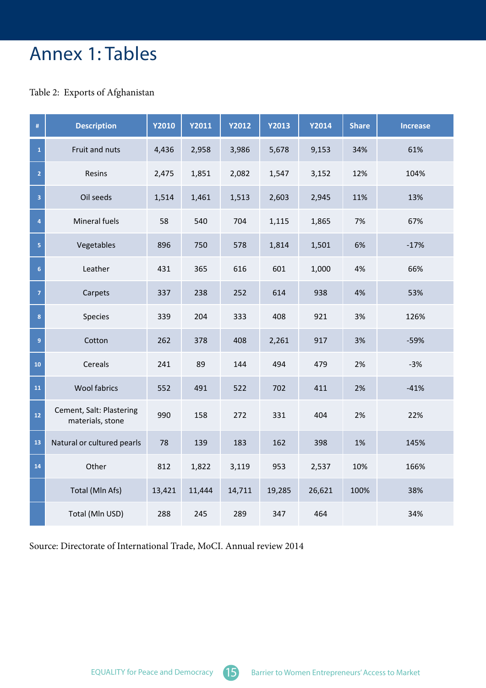### <span id="page-21-0"></span>Annex 1: Tables

#### Table 2: Exports of Afghanistan

| $\#$           | <b>Description</b>                           | <b>Y2010</b> | Y2011  | <b>Y2012</b> | <b>Y2013</b> | <b>Y2014</b> | <b>Share</b> | <b>Increase</b> |
|----------------|----------------------------------------------|--------------|--------|--------------|--------------|--------------|--------------|-----------------|
| $\mathbf{1}$   | Fruit and nuts                               | 4,436        | 2,958  | 3,986        | 5,678        | 9,153        | 34%          | 61%             |
| $\overline{2}$ | Resins                                       | 2,475        | 1,851  | 2,082        | 1,547        | 3,152        | 12%          | 104%            |
| 3              | Oil seeds                                    | 1,514        | 1,461  | 1,513        | 2,603        | 2,945        | 11%          | 13%             |
| 4              | Mineral fuels                                | 58           | 540    | 704          | 1,115        | 1,865        | 7%           | 67%             |
| 5              | Vegetables                                   | 896          | 750    | 578          | 1,814        | 1,501        | 6%           | $-17%$          |
| 6              | Leather                                      | 431          | 365    | 616          | 601          | 1,000        | 4%           | 66%             |
| $\overline{7}$ | Carpets                                      | 337          | 238    | 252          | 614          | 938          | 4%           | 53%             |
| 8              | <b>Species</b>                               | 339          | 204    | 333          | 408          | 921          | 3%           | 126%            |
| $\overline{9}$ | Cotton                                       | 262          | 378    | 408          | 2,261        | 917          | 3%           | $-59%$          |
| 10             | Cereals                                      | 241          | 89     | 144          | 494          | 479          | 2%           | $-3%$           |
| 11             | <b>Wool fabrics</b>                          | 552          | 491    | 522          | 702          | 411          | 2%           | $-41%$          |
| $12$           | Cement, Salt: Plastering<br>materials, stone | 990          | 158    | 272          | 331          | 404          | 2%           | 22%             |
| 13             | Natural or cultured pearls                   | 78           | 139    | 183          | 162          | 398          | 1%           | 145%            |
| 14             | Other                                        | 812          | 1,822  | 3,119        | 953          | 2,537        | 10%          | 166%            |
|                | Total (Mln Afs)                              | 13,421       | 11,444 | 14,711       | 19,285       | 26,621       | 100%         | 38%             |
|                | Total (Mln USD)                              | 288          | 245    | 289          | 347          | 464          |              | 34%             |

Source: Directorate of International Trade, MoCI. Annual review 2014

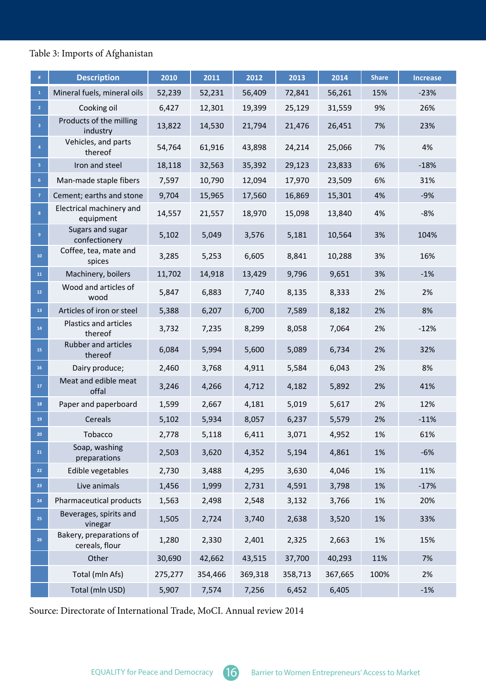### Table 3: Imports of Afghanistan

| #                       | <b>Description</b>                        | 2010    | 2011    | 2012    | 2013    | 2014    | <b>Share</b> | <b>Increase</b> |
|-------------------------|-------------------------------------------|---------|---------|---------|---------|---------|--------------|-----------------|
| $\mathbf{1}$            | Mineral fuels, mineral oils               | 52,239  | 52,231  | 56,409  | 72,841  | 56,261  | 15%          | $-23%$          |
| 2 <sup>1</sup>          | Cooking oil                               | 6,427   | 12,301  | 19,399  | 25,129  | 31,559  | 9%           | 26%             |
| $\overline{\mathbf{3}}$ | Products of the milling<br>industry       | 13,822  | 14,530  | 21,794  | 21,476  | 26,451  | 7%           | 23%             |
| $\overline{4}$          | Vehicles, and parts<br>thereof            | 54,764  | 61,916  | 43,898  | 24,214  | 25,066  | 7%           | 4%              |
| 5 <sub>1</sub>          | Iron and steel                            | 18,118  | 32,563  | 35,392  | 29,123  | 23,833  | 6%           | $-18%$          |
| 6 <sup>1</sup>          | Man-made staple fibers                    | 7,597   | 10,790  | 12,094  | 17,970  | 23,509  | 6%           | 31%             |
| $\overline{7}$          | Cement; earths and stone                  | 9,704   | 15,965  | 17,560  | 16,869  | 15,301  | 4%           | $-9%$           |
| 8                       | Electrical machinery and<br>equipment     | 14,557  | 21,557  | 18,970  | 15,098  | 13,840  | 4%           | $-8%$           |
| 9                       | Sugars and sugar<br>confectionery         | 5,102   | 5,049   | 3,576   | 5,181   | 10,564  | 3%           | 104%            |
| 10                      | Coffee, tea, mate and<br>spices           | 3,285   | 5,253   | 6,605   | 8,841   | 10,288  | 3%           | 16%             |
| ${\bf 11}$              | Machinery, boilers                        | 11,702  | 14,918  | 13,429  | 9,796   | 9,651   | 3%           | $-1%$           |
| $12\,$                  | Wood and articles of<br>wood              | 5,847   | 6,883   | 7,740   | 8,135   | 8,333   | 2%           | 2%              |
| 13                      | Articles of iron or steel                 | 5,388   | 6,207   | 6,700   | 7,589   | 8,182   | 2%           | 8%              |
| 14                      | <b>Plastics and articles</b><br>thereof   | 3,732   | 7,235   | 8,299   | 8,058   | 7,064   | 2%           | $-12%$          |
| 15                      | <b>Rubber and articles</b><br>thereof     | 6,084   | 5,994   | 5,600   | 5,089   | 6,734   | 2%           | 32%             |
| 16                      | Dairy produce;                            | 2,460   | 3,768   | 4,911   | 5,584   | 6,043   | 2%           | 8%              |
| ${\bf 17}$              | Meat and edible meat<br>offal             | 3,246   | 4,266   | 4,712   | 4,182   | 5,892   | 2%           | 41%             |
| 18                      | Paper and paperboard                      | 1,599   | 2,667   | 4,181   | 5,019   | 5,617   | 2%           | 12%             |
| 19                      | Cereals                                   | 5,102   | 5,934   | 8,057   | 6,237   | 5,579   | 2%           | $-11%$          |
| 20                      | Tobacco                                   | 2,778   | 5,118   | 6,411   | 3,071   | 4,952   | $1\%$        | 61%             |
| 21                      | Soap, washing<br>preparations             | 2,503   | 3,620   | 4,352   | 5,194   | 4,861   | 1%           | $-6%$           |
| 22                      | Edible vegetables                         | 2,730   | 3,488   | 4,295   | 3,630   | 4,046   | 1%           | 11%             |
| 23                      | Live animals                              | 1,456   | 1,999   | 2,731   | 4,591   | 3,798   | 1%           | $-17%$          |
| 24                      | Pharmaceutical products                   | 1,563   | 2,498   | 2,548   | 3,132   | 3,766   | 1%           | 20%             |
| 25                      | Beverages, spirits and<br>vinegar         | 1,505   | 2,724   | 3,740   | 2,638   | 3,520   | 1%           | 33%             |
| 26                      | Bakery, preparations of<br>cereals, flour | 1,280   | 2,330   | 2,401   | 2,325   | 2,663   | 1%           | 15%             |
|                         | Other                                     | 30,690  | 42,662  | 43,515  | 37,700  | 40,293  | 11%          | 7%              |
|                         | Total (mln Afs)                           | 275,277 | 354,466 | 369,318 | 358,713 | 367,665 | 100%         | 2%              |
|                         | Total (mln USD)                           | 5,907   | 7,574   | 7,256   | 6,452   | 6,405   |              | $-1%$           |

Source: Directorate of International Trade, MoCI. Annual review 2014

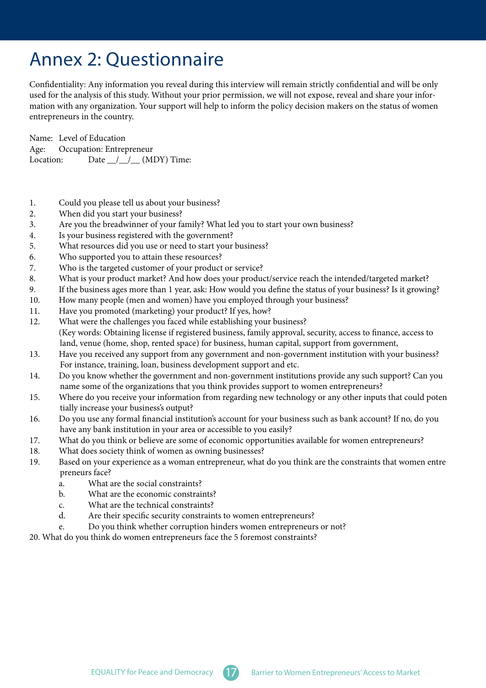### <span id="page-23-0"></span>Annex 2: Questionnaire

Confidentiality: Any information you reveal during this interview will remain strictly confidential and will be only mation with any organization. Your support will help to inform the policy decision makers on the status of women used for the analysis of this study. Without your prior permission, we will not expose, reveal and share your inforentrepreneurs in the country.

Name: Level of Education Age: Occupation: Entrepreneur Location: Date  $\_\_\_\_\_\_\_\_\_\$  (MDY) Time:

- 1. Could you please tell us about your business?
- 2. When did you start your business?
- 3. Are you the breadwinner of your family? What led you to start your own business?
- 4. Is your business registered with the government?
- 5. What resources did you use or need to start your business?
- 6. Who supported you to attain these resources?
- 7. Who is the targeted customer of your product or service?
- 8. What is your product market? And how does your product/service reach the intended/targeted market?
- 9. If the business ages more than 1 year, ask: How would you define the status of your business? Is it growing?
- 10. How many people (men and women) have you employed through your business?
- 11. Have you promoted (marketing) your product? If yes, how?
- 12. What were the challenges you faced while establishing your business? (Key words: Obtaining license if registered business, family approval, security, access to finance, access to land, venue (home, shop, rented space) for business, human capital, support from government,
- 13. Have you received any support from any government and non-government institution with your business? For instance, training, loan, business development support and etc.
- 14. Do you know whether the government and non-government institutions provide any such support? Can you name some of the organizations that you think provides support to women entrepreneurs?
- 15. Where do you receive your information from regarding new technology or any other inputs that could poten tially increase your business's output?
- 16. Do you use any formal financial institution's account for your business such as bank account? If no, do you have any bank institution in your area or accessible to you easily?
- 17. What do you think or believe are some of economic opportunities available for women entrepreneurs?
- 18. What does society think of women as owning businesses?
- 19. Based on your experience as a woman entrepreneur, what do you think are the constraints that women entre preneurs face?
	- a. What are the social constraints?
	- b. What are the economic constraints?
	- c. What are the technical constraints?
	- d. Are their specific security constraints to women entrepreneurs?
	- e. Do you think whether corruption hinders women entrepreneurs or not?

20. What do you think do women entrepreneurs face the 5 foremost constraints?

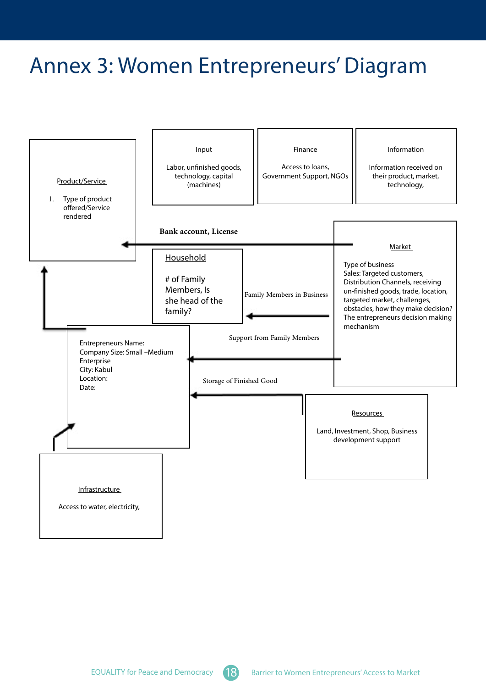### <span id="page-24-0"></span>Annex 3: Women Entrepreneurs' Diagram



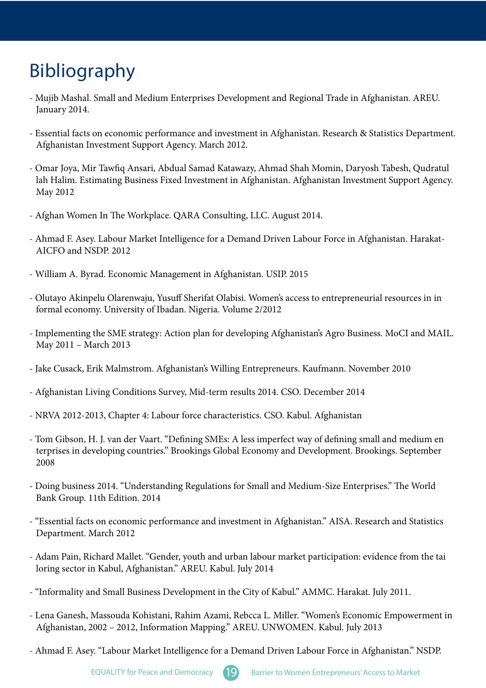# <span id="page-25-0"></span>Bibliography

- Mujib Mashal. Small and Medium Enterprises Development and Regional Trade in Afghanistan. AREU. January 2014.
- Essential facts on economic performance and investment in Afghanistan. Research & Statistics Department. Afghanistan Investment Support Agency. March 2012.
- Omar Joya, Mir Tawfiq Ansari, Abdual Samad Katawazy, Ahmad Shah Momin, Daryosh Tabesh, Qudratul lah Halim. Estimating Business Fixed Investment in Afghanistan. Afghanistan Investment Support Agency. May 2012
- Afghan Women In The Workplace. QARA Consulting, LLC. August 2014.
- Ahmad F. Asey. Labour Market Intelligence for a Demand Driven Labour Force in Afghanistan. Harakat-AICFO and NSDP, 2012
- William A. Byrad. Economic Management in Afghanistan. USIP. 2015
- Olutayo Akinpelu Olarenwaju, Yusuff Sherifat Olabisi. Women's access to entrepreneurial resources in in formal economy. University of Ibadan. Nigeria. Volume 2/2012
- Implementing the SME strategy: Action plan for developing Afghanistan's Agro Business. MoCI and MAIL. May 2011 - March 2013
- Jake Cusack, Erik Malmstrom. Afghanistan's Willing Entrepreneurs. Kaufmann. November 2010
- Afghanistan Living Conditions Survey, Mid-term results 2014. CSO. December 2014
- NRVA 2012-2013, Chapter 4: Labour force characteristics. CSO. Kabul. Afghanistan
- Tom Gibson, H. J. van der Vaart. "Defining SMEs: A less imperfect way of defining small and medium en terprises in developing countries." Brookings Global Economy and Development. Brookings. September 2008
- Doing business 2014. "Understanding Regulations for Small and Medium-Size Enterprises." The World Bank Group. 11th Edition. 2014
- "Essential facts on economic performance and investment in Afghanistan." AISA. Research and Statistics Department. March 2012
- Adam Pain, Richard Mallet. "Gender, youth and urban labour market participation: evidence from the tai loring sector in Kabul, Afghanistan." AREU. Kabul. July 2014
- "Informality and Small Business Development in the City of Kabul." AMMC. Harakat. July 2011.
- Lena Ganesh, Massouda Kohistani, Rahim Azami, Rebcca L. Miller. "Women's Economic Empowerment in Afghanistan, 2002 - 2012, Information Mapping." AREU. UNWOMEN. Kabul. July 2013
- Ahmad F. Asey. "Labour Market Intelligence for a Demand Driven Labour Force in Afghanistan." NSDP.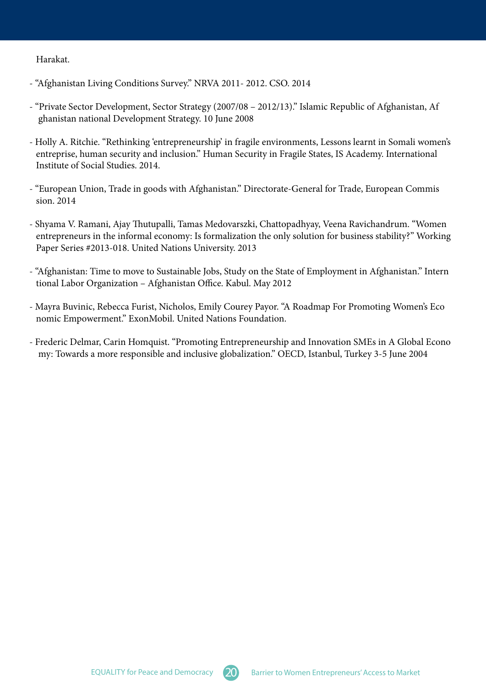.Harakat

- "Afghanistan Living Conditions Survey." NRVA 2011-2012. CSO. 2014
- "Private Sector Development, Sector Strategy (2007/08 2012/13)." Islamic Republic of Afghanistan, Af ghanistan national Development Strategy. 10 June 2008
- Holly A. Ritchie. "Rethinking 'entrepreneurship' in fragile environments, Lessons learnt in Somali women's entreprise, human security and inclusion." Human Security in Fragile States, IS Academy. International Institute of Social Studies, 2014.
- "European Union, Trade in goods with Afghanistan." Directorate-General for Trade, European Commis sion. 2014
- Shyama V. Ramani, Ajay Thutupalli, Tamas Medovarszki, Chattopadhyay, Veena Ravichandrum. "Women entrepreneurs in the informal economy: Is formalization the only solution for business stability?" Working Paper Series #2013-018. United Nations University. 2013
- "Afghanistan: Time to move to Sustainable Jobs, Study on the State of Employment in Afghanistan." Intern tional Labor Organization - Afghanistan Office. Kabul. May 2012
- Mayra Buvinic, Rebecca Furist, Nicholos, Emily Courey Payor. "A Roadmap For Promoting Women's Eco nomic Empowerment." ExonMobil. United Nations Foundation.
- Frederic Delmar, Carin Homquist. "Promoting Entrepreneurship and Innovation SMEs in A Global Econo my: Towards a more responsible and inclusive globalization." OECD, Istanbul, Turkey 3-5 June 2004